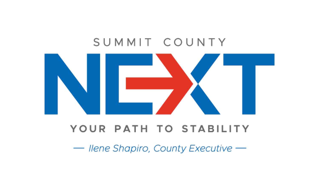# SUMMIT COUNTY



## YOUR PATH TO STABILITY

- Ilene Shapiro, County Executive -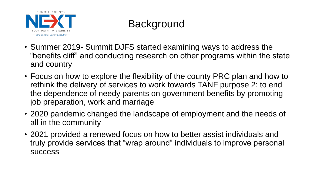

# **Background**

- Summer 2019- Summit DJFS started examining ways to address the "benefits cliff" and conducting research on other programs within the state and country
- Focus on how to explore the flexibility of the county PRC plan and how to rethink the delivery of services to work towards TANF purpose 2: to end the dependence of needy parents on government benefits by promoting job preparation, work and marriage
- 2020 pandemic changed the landscape of employment and the needs of all in the community
- 2021 provided a renewed focus on how to better assist individuals and truly provide services that "wrap around" individuals to improve personal success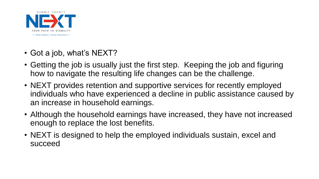

- Got a job, what's NEXT?
- Getting the job is usually just the first step. Keeping the job and figuring how to navigate the resulting life changes can be the challenge.
- NEXT provides retention and supportive services for recently employed individuals who have experienced a decline in public assistance caused by an increase in household earnings.
- Although the household earnings have increased, they have not increased enough to replace the lost benefits.
- NEXT is designed to help the employed individuals sustain, excel and succeed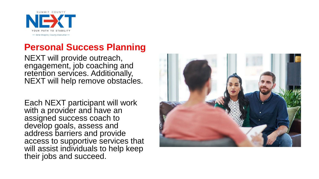

## **Personal Success Planning**

NEXT will provide outreach, engagement, job coaching and retention services. Additionally, NEXT will help remove obstacles.

Each NEXT participant will work with a provider and have an assigned success coach to develop goals, assess and address barriers and provide access to supportive services that will assist individuals to help keep their jobs and succeed.

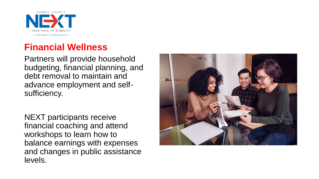

## **Financial Wellness**

Partners will provide household budgeting, financial planning, and debt removal to maintain and advance employment and selfsufficiency.

NEXT participants receive financial coaching and attend workshops to learn how to balance earnings with expenses and changes in public assistance levels.

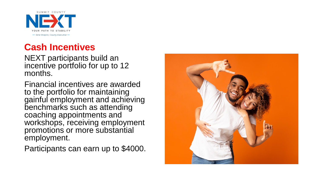SUMMIT COUNTY - Ilene Shapiro, County Executive -

## **Cash Incentives**

NEXT participants build an incentive portfolio for up to 12 months.

Financial incentives are awarded to the portfolio for maintaining gainful employment and achieving benchmarks such as attending coaching appointments and workshops, receiving employment promotions or more substantial employment.

Participants can earn up to \$4000.

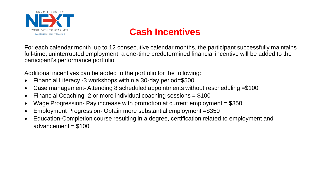

For each calendar month, up to 12 consecutive calendar months, the participant successfully maintains full-time, uninterrupted employment, a one-time predetermined financial incentive will be added to the participant's performance portfolio

Additional incentives can be added to the portfolio for the following:

- Financial Literacy -3 workshops within a 30-day period=\$500
- Case management- Attending 8 scheduled appointments without rescheduling =\$100
- Financial Coaching- 2 or more individual coaching sessions = \$100
- Wage Progression- Pay increase with promotion at current employment = \$350
- Employment Progression- Obtain more substantial employment =\$350
- Education-Completion course resulting in a degree, certification related to employment and advancement = \$100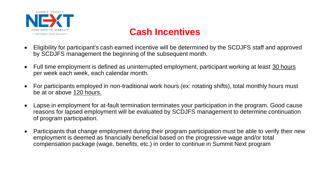

- Eligibility for participant's cash earned incentive will be determined by the SCDJFS staff and approved by SCDJFS management the beginning of the subsequent month.
- Full time employment is defined as uninterrupted employment, participant working at least 30 hours per week each week, each calendar month.
- For participants employed in non-traditional work hours (ex: rotating shifts), total monthly hours must be at or above 120 hours.
- Lapse in employment for at-fault termination terminates your participation in the program. Good cause reasons for lapsed employment will be evaluated by SCDJFS management to determine continuation of program participation.
- Participants that change employment during their program participation must be able to verify their new employment is deemed as financially beneficial based on the progressive wage and/or total compensation package (wage, benefits, etc.) in order to continue in Summit Next program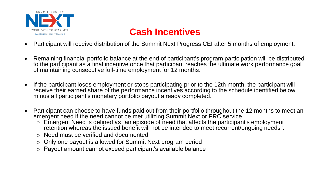

- Participant will receive distribution of the Summit Next Progress CEI after 5 months of employment.
- Remaining financial portfolio balance at the end of participant's program participation will be distributed to the participant as a final incentive once that participant reaches the ultimate work performance goal of maintaining consecutive full-time employment for 12 months.
- If the participant loses employment or stops participating prior to the 12th month, the participant will receive their earned share of the performance incentives according to the schedule identified below minus all participant's monetary portfolio payout already completed.
- Participant can choose to have funds paid out from their portfolio throughout the 12 months to meet an emergent need if the need cannot be met utilizing Summit Next or PRC service.
	- o Emergent Need is defined as "an episode of need that affects the participant's employment retention whereas the issued benefit will not be intended to meet recurrent/ongoing needs".
	- o Need must be verified and documented
	- o Only one payout is allowed for Summit Next program period
	- Payout amount cannot exceed participant's available balance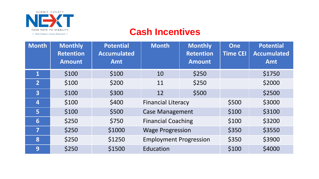

| <b>Month</b>            | <b>Monthly</b><br><b>Retention</b><br><b>Amount</b> | <b>Potential</b><br><b>Accumulated</b><br>Amt | <b>Month</b>                  | <b>Monthly</b><br><b>Retention</b><br><b>Amount</b> | <b>One</b><br><b>Time CEI</b> | <b>Potential</b><br><b>Accumulated</b><br>Amt |
|-------------------------|-----------------------------------------------------|-----------------------------------------------|-------------------------------|-----------------------------------------------------|-------------------------------|-----------------------------------------------|
| $\mathbf{1}$            | \$100                                               | \$100                                         | 10                            | \$250                                               |                               | \$1750                                        |
| $\overline{2}$          | \$100                                               | \$200                                         | 11                            | \$250                                               |                               | \$2000                                        |
| $\overline{\mathbf{3}}$ | \$100                                               | \$300                                         | 12                            | \$500                                               |                               | \$2500                                        |
| 4                       | \$100                                               | \$400                                         | <b>Financial Literacy</b>     |                                                     | \$500                         | \$3000                                        |
| 5                       | \$100                                               | \$500                                         | <b>Case Management</b>        |                                                     | \$100                         | \$3100                                        |
| 6                       | \$250                                               | \$750                                         | <b>Financial Coaching</b>     |                                                     | \$100                         | \$3200                                        |
| 7                       | \$250                                               | \$1000                                        | <b>Wage Progression</b>       |                                                     | \$350                         | \$3550                                        |
| 8                       | \$250                                               | \$1250                                        | <b>Employment Progression</b> |                                                     | \$350                         | \$3900                                        |
| 9                       | \$250                                               | \$1500                                        | Education                     |                                                     | \$100                         | \$4000                                        |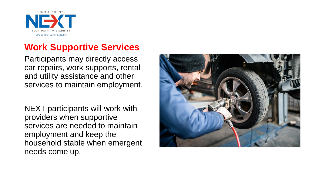

## **Work Supportive Services**

Participants may directly access car repairs, work supports, rental and utility assistance and other services to maintain employment.

NEXT participants will work with providers when supportive services are needed to maintain employment and keep the household stable when emergent needs come up.

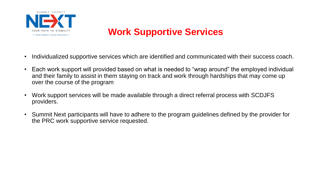

## **Work Supportive Services**

- Individualized supportive services which are identified and communicated with their success coach.
- Each work support will provided based on what is needed to "wrap around" the employed individual and their family to assist in them staying on track and work through hardships that may come up over the course of the program
- Work support services will be made available through a direct referral process with SCDJFS providers.
- Summit Next participants will have to adhere to the program guidelines defined by the provider for the PRC work supportive service requested.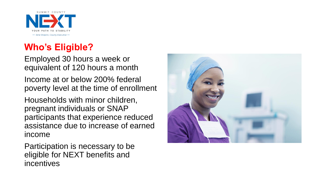

## **Who's Eligible?**

Employed 30 hours a week or equivalent of 120 hours a month

Income at or below 200% federal poverty level at the time of enrollment

Households with minor children, pregnant individuals or SNAP participants that experience reduced assistance due to increase of earned income

Participation is necessary to be eligible for NEXT benefits and incentives

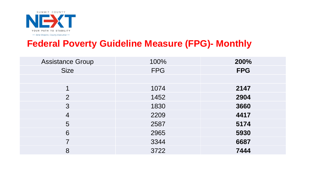

## **Federal Poverty Guideline Measure (FPG)- Monthly**

| <b>Assistance Group</b> | 100%       | 200%       |
|-------------------------|------------|------------|
| <b>Size</b>             | <b>FPG</b> | <b>FPG</b> |
|                         |            |            |
|                         | 1074       | 2147       |
| $\overline{2}$          | 1452       | 2904       |
| 3                       | 1830       | 3660       |
| $\overline{4}$          | 2209       | 4417       |
| 5                       | 2587       | 5174       |
| 6                       | 2965       | 5930       |
|                         | 3344       | 6687       |
| 8                       | 3722       | 7444       |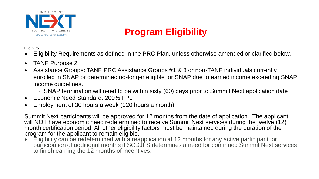

## **Program Eligibility**

#### **Eligibility**

- Eligibility Requirements as defined in the PRC Plan, unless otherwise amended or clarified below.
- TANF Purpose 2
- Assistance Groups: TANF PRC Assistance Groups #1 & 3 or non-TANF individuals currently enrolled in SNAP or determined no-longer eligible for SNAP due to earned income exceeding SNAP income guidelines.
	- $\circ$  SNAP termination will need to be within sixty (60) days prior to Summit Next application date
- Economic Need Standard: 200% FPL
- Employment of 30 hours a week (120 hours a month)

Summit Next participants will be approved for 12 months from the date of application. The applicant will NOT have economic need redetermined to receive Summit Next services during the twelve (12) month certification period. All other eligibility factors must be maintained during the duration of the program for the applicant to remain eligible.

• Eligibility can be redetermined with a reapplication at 12 months for any active participant for participation of additional months if SCDJFS determines a need for continued Summit Next services to finish earning the 12 months of incentives.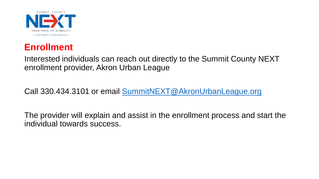

## **Enrollment**

Interested individuals can reach out directly to the Summit County NEXT enrollment provider, Akron Urban League

Call 330.434.3101 or email [SummitNEXT@AkronUrbanLeague.org](mailto:SummitNEXT@AkronUrbanLeague.org)

The provider will explain and assist in the enrollment process and start the individual towards success.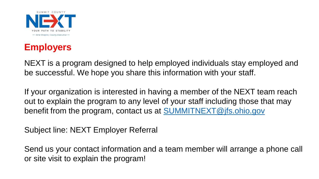



NEXT is a program designed to help employed individuals stay employed and be successful. We hope you share this information with your staff.

If your organization is interested in having a member of the NEXT team reach out to explain the program to any level of your staff including those that may benefit from the program, contact us at **[SUMMITNEXT@jfs.ohio.gov](mailto:SUMMITNEXT@jfs.ohio.gov)** 

Subject line: NEXT Employer Referral

Send us your contact information and a team member will arrange a phone call or site visit to explain the program!